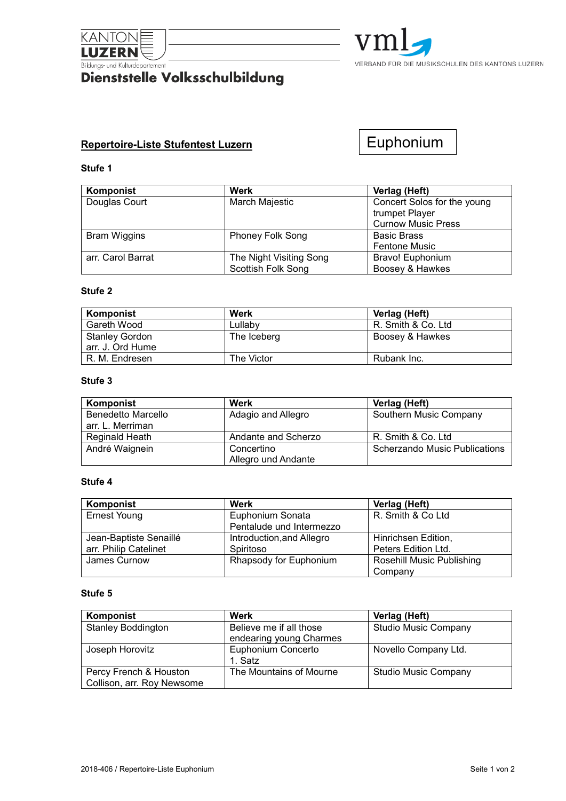

# **Eildungs- und Kulturdepartement**<br>Dienststelle Volksschulbildung



## **Repertoire-Liste Stufentest Luzern**

Euphonium

### **Stufe 1**

| Komponist           | <b>Werk</b>             | Verlag (Heft)               |
|---------------------|-------------------------|-----------------------------|
| Douglas Court       | March Majestic          | Concert Solos for the young |
|                     |                         | trumpet Player              |
|                     |                         | <b>Curnow Music Press</b>   |
| <b>Bram Wiggins</b> | <b>Phoney Folk Song</b> | <b>Basic Brass</b>          |
|                     |                         | <b>Fentone Music</b>        |
| arr. Carol Barrat   | The Night Visiting Song | Bravo! Euphonium            |
|                     | Scottish Folk Song      | Boosey & Hawkes             |

### **Stufe 2**

| Komponist             | Werk        | Verlag (Heft)      |
|-----------------------|-------------|--------------------|
| Gareth Wood           | Lullaby     | R. Smith & Co. Ltd |
| <b>Stanley Gordon</b> | The Iceberg | Boosey & Hawkes    |
| arr. J. Ord Hume      |             |                    |
| R. M. Endresen        | The Victor  | Rubank Inc.        |

## **Stufe 3**

| Komponist          | Werk                | Verlag (Heft)                 |
|--------------------|---------------------|-------------------------------|
| Benedetto Marcello | Adagio and Allegro  | Southern Music Company        |
| arr. L. Merriman   |                     |                               |
| Reginald Heath     | Andante and Scherzo | R. Smith & Co. Ltd            |
| André Waignein     | Concertino          | Scherzando Music Publications |
|                    | Allegro und Andante |                               |

#### **Stufe 4**

| Komponist              | Werk                      | Verlag (Heft)                    |
|------------------------|---------------------------|----------------------------------|
| <b>Ernest Young</b>    | Euphonium Sonata          | R. Smith & Co Ltd                |
|                        | Pentalude und Intermezzo  |                                  |
| Jean-Baptiste Senaillé | Introduction, and Allegro | Hinrichsen Edition,              |
| arr. Philip Catelinet  | Spiritoso                 | Peters Edition Ltd.              |
| James Curnow           | Rhapsody for Euphonium    | <b>Rosehill Music Publishing</b> |
|                        |                           | Company                          |

#### **Stufe 5**

| Komponist                  | Werk                    | Verlag (Heft)               |
|----------------------------|-------------------------|-----------------------------|
| <b>Stanley Boddington</b>  | Believe me if all those | <b>Studio Music Company</b> |
|                            | endearing young Charmes |                             |
| Joseph Horovitz            | Euphonium Concerto      | Novello Company Ltd.        |
|                            | 1. Satz                 |                             |
| Percy French & Houston     | The Mountains of Mourne | <b>Studio Music Company</b> |
| Collison, arr. Roy Newsome |                         |                             |